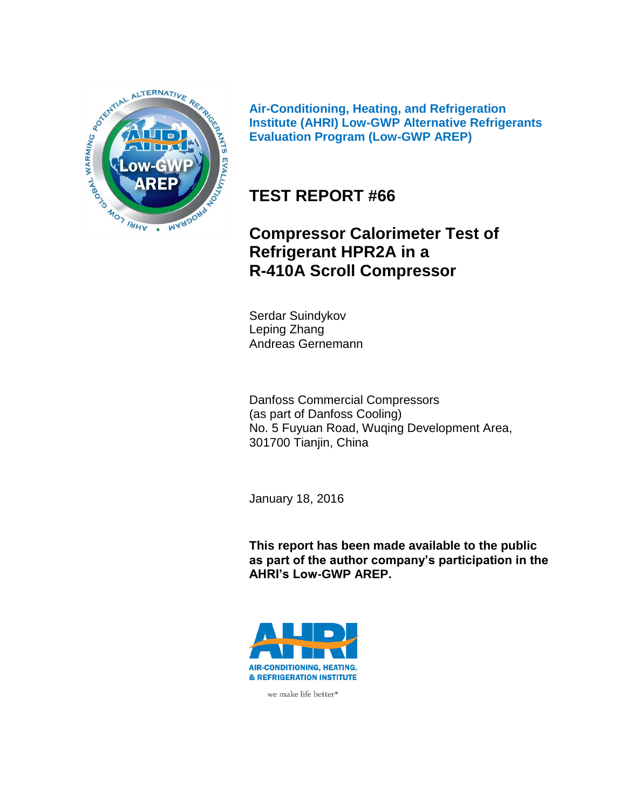

**Air-Conditioning, Heating, and Refrigeration Institute (AHRI) Low-GWP Alternative Refrigerants Evaluation Program (Low-GWP AREP)**

## **TEST REPORT #66**

## **Compressor Calorimeter Test of Refrigerant HPR2A in a R-410A Scroll Compressor**

Serdar Suindykov Leping Zhang Andreas Gernemann

Danfoss Commercial Compressors (as part of Danfoss Cooling) No. 5 Fuyuan Road, Wuqing Development Area, 301700 Tianjin, China

January 18, 2016

**This report has been made available to the public as part of the author company's participation in the AHRI's Low-GWP AREP.**



we make life better<sup>®</sup>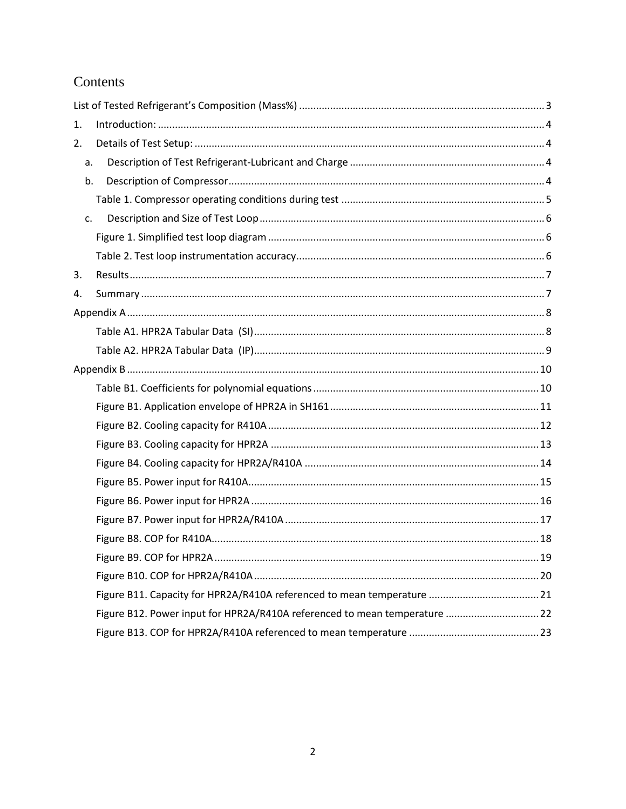# Contents

| 1.          |                                                                           |  |
|-------------|---------------------------------------------------------------------------|--|
| 2.          |                                                                           |  |
| a.          |                                                                           |  |
| b.          |                                                                           |  |
|             |                                                                           |  |
| $C_{\star}$ |                                                                           |  |
|             |                                                                           |  |
|             |                                                                           |  |
| 3.          |                                                                           |  |
| 4.          |                                                                           |  |
|             |                                                                           |  |
|             |                                                                           |  |
|             |                                                                           |  |
|             |                                                                           |  |
|             |                                                                           |  |
|             |                                                                           |  |
|             |                                                                           |  |
|             |                                                                           |  |
|             |                                                                           |  |
|             |                                                                           |  |
|             |                                                                           |  |
|             |                                                                           |  |
|             |                                                                           |  |
|             |                                                                           |  |
|             |                                                                           |  |
|             |                                                                           |  |
|             | Figure B12. Power input for HPR2A/R410A referenced to mean temperature 22 |  |
|             |                                                                           |  |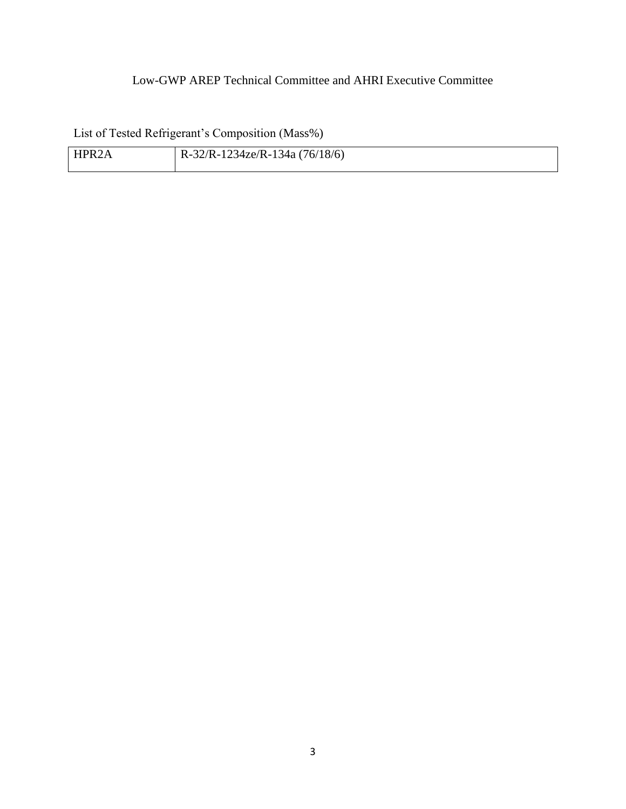### Low-GWP AREP Technical Committee and AHRI Executive Committee

<span id="page-2-0"></span>List of Tested Refrigerant's Composition (Mass%)

| HPR <sub>2</sub> A | $R-32/R-1234ze/R-134a (76/18/6)$ |
|--------------------|----------------------------------|
|                    |                                  |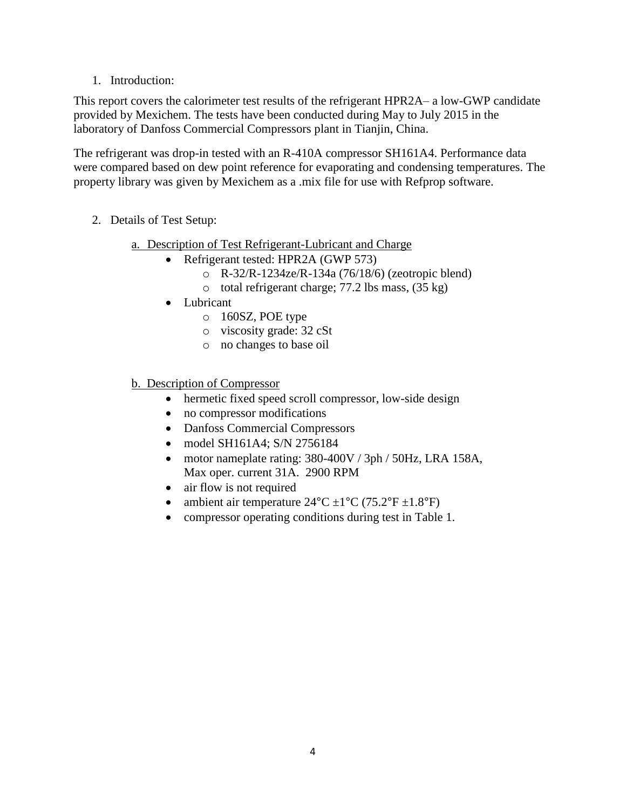1. Introduction:

<span id="page-3-0"></span>This report covers the calorimeter test results of the refrigerant HPR2A– a low-GWP candidate provided by Mexichem. The tests have been conducted during May to July 2015 in the laboratory of Danfoss Commercial Compressors plant in Tianjin, China.

The refrigerant was drop-in tested with an R-410A compressor SH161A4. Performance data were compared based on dew point reference for evaporating and condensing temperatures. The property library was given by Mexichem as a .mix file for use with Refprop software.

- <span id="page-3-3"></span><span id="page-3-2"></span><span id="page-3-1"></span>2. Details of Test Setup:
	- a. Description of Test Refrigerant-Lubricant and Charge
		- Refrigerant tested: HPR2A (GWP 573)
			- o R-32/R-1234ze/R-134a (76/18/6) (zeotropic blend)
			- o total refrigerant charge; 77.2 lbs mass, (35 kg)
		- Lubricant
			- o 160SZ, POE type
			- o viscosity grade: 32 cSt
			- o no changes to base oil
	- b. Description of Compressor
		- hermetic fixed speed scroll compressor, low-side design
		- no compressor modifications
		- Danfoss Commercial Compressors
		- model SH161A4; S/N 2756184
		- motor nameplate rating: 380-400V / 3ph / 50Hz, LRA 158A, Max oper. current 31A. 2900 RPM
		- air flow is not required
		- ambient air temperature  $24^{\circ}$ C  $\pm 1^{\circ}$ C (75.2°F  $\pm 1.8^{\circ}$ F)
		- compressor operating conditions during test in Table 1.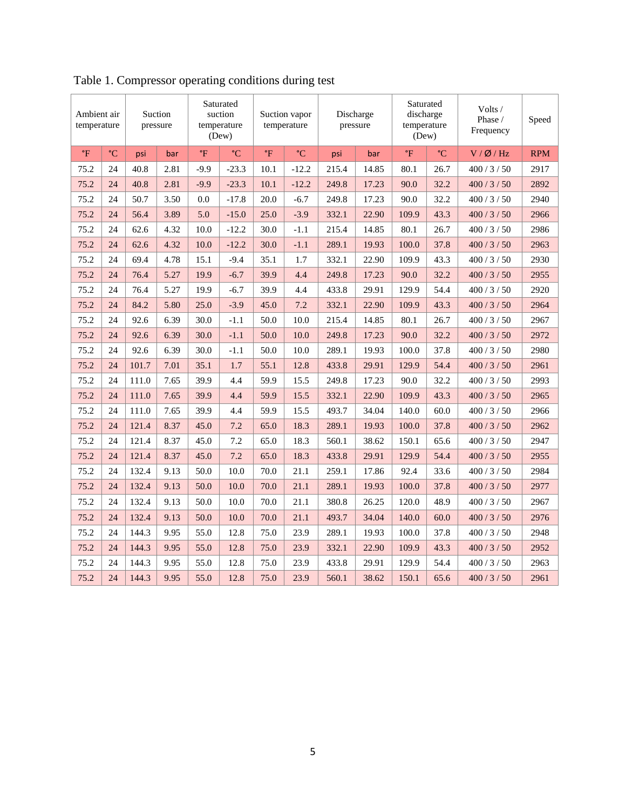| Ambient air<br>Suction<br>pressure<br>temperature |                 | Saturated<br>suction<br>temperature<br>(Dew) |      | Suction vapor<br>temperature |                 | Discharge<br>pressure |                 | Saturated<br>discharge<br>temperature<br>(Dew) |       | Volts /<br>Phase /<br>Frequency | Speed           |              |            |
|---------------------------------------------------|-----------------|----------------------------------------------|------|------------------------------|-----------------|-----------------------|-----------------|------------------------------------------------|-------|---------------------------------|-----------------|--------------|------------|
| $\mathsf{P}$                                      | $\rm ^{\circ}C$ | psi                                          | bar  | $\mathsf{P}$                 | $\rm ^{\circ}C$ | $\mathsf{P}$          | $\rm ^{\circ}C$ | psi                                            | bar   | $\mathbf{P}$                    | $\rm ^{\circ}C$ | V / Ø / Hz   | <b>RPM</b> |
| 75.2                                              | 24              | 40.8                                         | 2.81 | $-9.9$                       | $-23.3$         | 10.1                  | $-12.2$         | 215.4                                          | 14.85 | 80.1                            | 26.7            | 400/3/50     | 2917       |
| 75.2                                              | 24              | 40.8                                         | 2.81 | $-9.9$                       | $-23.3$         | 10.1                  | $-12.2$         | 249.8                                          | 17.23 | 90.0                            | 32.2            | 400/3/50     | 2892       |
| 75.2                                              | 24              | 50.7                                         | 3.50 | 0.0                          | $-17.8$         | 20.0                  | $-6.7$          | 249.8                                          | 17.23 | 90.0                            | 32.2            | 400/3/50     | 2940       |
| 75.2                                              | 24              | 56.4                                         | 3.89 | 5.0                          | $-15.0$         | 25.0                  | $-3.9$          | 332.1                                          | 22.90 | 109.9                           | 43.3            | 400/3/50     | 2966       |
| 75.2                                              | 24              | 62.6                                         | 4.32 | 10.0                         | $-12.2$         | 30.0                  | $-1.1$          | 215.4                                          | 14.85 | 80.1                            | 26.7            | 400 / 3 / 50 | 2986       |
| 75.2                                              | 24              | 62.6                                         | 4.32 | 10.0                         | $-12.2$         | 30.0                  | $-1.1$          | 289.1                                          | 19.93 | 100.0                           | 37.8            | 400/3/50     | 2963       |
| 75.2                                              | 24              | 69.4                                         | 4.78 | 15.1                         | $-9.4$          | 35.1                  | 1.7             | 332.1                                          | 22.90 | 109.9                           | 43.3            | 400/3/50     | 2930       |
| 75.2                                              | 24              | 76.4                                         | 5.27 | 19.9                         | $-6.7$          | 39.9                  | 4.4             | 249.8                                          | 17.23 | 90.0                            | 32.2            | 400/3/50     | 2955       |
| 75.2                                              | 24              | 76.4                                         | 5.27 | 19.9                         | $-6.7$          | 39.9                  | 4.4             | 433.8                                          | 29.91 | 129.9                           | 54.4            | 400/3/50     | 2920       |
| 75.2                                              | 24              | 84.2                                         | 5.80 | 25.0                         | $-3.9$          | 45.0                  | 7.2             | 332.1                                          | 22.90 | 109.9                           | 43.3            | 400/3/50     | 2964       |
| 75.2                                              | 24              | 92.6                                         | 6.39 | 30.0                         | $-1.1$          | 50.0                  | 10.0            | 215.4                                          | 14.85 | 80.1                            | 26.7            | 400/3/50     | 2967       |
| 75.2                                              | 24              | 92.6                                         | 6.39 | 30.0                         | $-1.1$          | 50.0                  | 10.0            | 249.8                                          | 17.23 | 90.0                            | 32.2            | 400/3/50     | 2972       |
| 75.2                                              | 24              | 92.6                                         | 6.39 | 30.0                         | $-1.1$          | 50.0                  | 10.0            | 289.1                                          | 19.93 | 100.0                           | 37.8            | 400/3/50     | 2980       |
| 75.2                                              | 24              | 101.7                                        | 7.01 | 35.1                         | 1.7             | 55.1                  | 12.8            | 433.8                                          | 29.91 | 129.9                           | 54.4            | 400/3/50     | 2961       |
| 75.2                                              | 24              | 111.0                                        | 7.65 | 39.9                         | 4.4             | 59.9                  | 15.5            | 249.8                                          | 17.23 | 90.0                            | 32.2            | 400/3/50     | 2993       |
| 75.2                                              | 24              | 111.0                                        | 7.65 | 39.9                         | 4.4             | 59.9                  | 15.5            | 332.1                                          | 22.90 | 109.9                           | 43.3            | 400/3/50     | 2965       |
| 75.2                                              | 24              | 111.0                                        | 7.65 | 39.9                         | 4.4             | 59.9                  | 15.5            | 493.7                                          | 34.04 | 140.0                           | 60.0            | 400/3/50     | 2966       |
| 75.2                                              | 24              | 121.4                                        | 8.37 | 45.0                         | 7.2             | 65.0                  | 18.3            | 289.1                                          | 19.93 | 100.0                           | 37.8            | 400/3/50     | 2962       |
| 75.2                                              | 24              | 121.4                                        | 8.37 | 45.0                         | 7.2             | 65.0                  | 18.3            | 560.1                                          | 38.62 | 150.1                           | 65.6            | 400/3/50     | 2947       |
| 75.2                                              | 24              | 121.4                                        | 8.37 | 45.0                         | 7.2             | 65.0                  | 18.3            | 433.8                                          | 29.91 | 129.9                           | 54.4            | 400/3/50     | 2955       |
| 75.2                                              | 24              | 132.4                                        | 9.13 | 50.0                         | 10.0            | 70.0                  | 21.1            | 259.1                                          | 17.86 | 92.4                            | 33.6            | 400/3/50     | 2984       |
| 75.2                                              | 24              | 132.4                                        | 9.13 | 50.0                         | 10.0            | 70.0                  | 21.1            | 289.1                                          | 19.93 | 100.0                           | 37.8            | 400/3/50     | 2977       |
| 75.2                                              | 24              | 132.4                                        | 9.13 | 50.0                         | 10.0            | 70.0                  | 21.1            | 380.8                                          | 26.25 | 120.0                           | 48.9            | 400/3/50     | 2967       |
| 75.2                                              | 24              | 132.4                                        | 9.13 | 50.0                         | 10.0            | 70.0                  | 21.1            | 493.7                                          | 34.04 | 140.0                           | 60.0            | 400/3/50     | 2976       |
| 75.2                                              | 24              | 144.3                                        | 9.95 | 55.0                         | 12.8            | 75.0                  | 23.9            | 289.1                                          | 19.93 | 100.0                           | 37.8            | 400/3/50     | 2948       |
| 75.2                                              | 24              | 144.3                                        | 9.95 | 55.0                         | 12.8            | 75.0                  | 23.9            | 332.1                                          | 22.90 | 109.9                           | 43.3            | 400/3/50     | 2952       |
| 75.2                                              | 24              | 144.3                                        | 9.95 | 55.0                         | 12.8            | 75.0                  | 23.9            | 433.8                                          | 29.91 | 129.9                           | 54.4            | 400/3/50     | 2963       |
| 75.2                                              | 24              | 144.3                                        | 9.95 | 55.0                         | 12.8            | 75.0                  | 23.9            | 560.1                                          | 38.62 | 150.1                           | 65.6            | 400/3/50     | 2961       |

<span id="page-4-0"></span>Table 1. Compressor operating conditions during test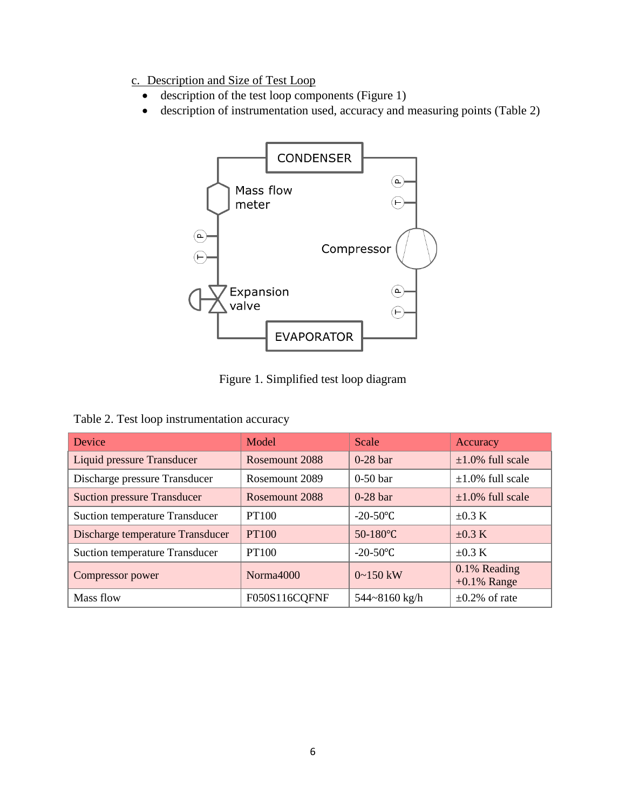- <span id="page-5-0"></span>c. Description and Size of Test Loop
	- description of the test loop components (Figure 1)
	- description of instrumentation used, accuracy and measuring points (Table 2)



Figure 1. Simplified test loop diagram

<span id="page-5-2"></span><span id="page-5-1"></span>Table 2. Test loop instrumentation accuracy

| Device                                | Model          | Scale           | Accuracy                       |  |
|---------------------------------------|----------------|-----------------|--------------------------------|--|
| Liquid pressure Transducer            | Rosemount 2088 | $0-28$ bar      | $\pm 1.0\%$ full scale         |  |
| Discharge pressure Transducer         | Rosemount 2089 | $0-50$ bar      | $\pm 1.0\%$ full scale         |  |
| <b>Suction pressure Transducer</b>    | Rosemount 2088 | $0-28$ bar      | $\pm 1.0\%$ full scale         |  |
| <b>Suction temperature Transducer</b> | PT100          | $-20-50$ °C     | $\pm 0.3$ K                    |  |
| Discharge temperature Transducer      | <b>PT100</b>   | $50-180$ °C     | $\pm 0.3$ K                    |  |
| <b>Suction temperature Transducer</b> | PT100          | $-20-50$ °C     | $\pm 0.3$ K                    |  |
| Compressor power                      | Norma4000      | $0 \sim 150$ kW | 0.1% Reading<br>$+0.1\%$ Range |  |
| Mass flow                             | F050S116CQFNF  | 544~8160 kg/h   | $\pm 0.2\%$ of rate            |  |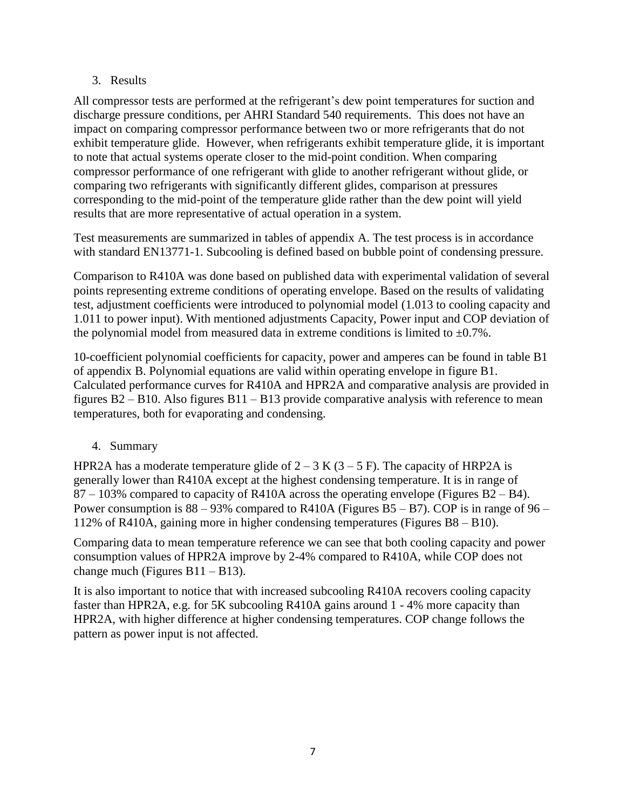#### <span id="page-6-0"></span>3. Results

All compressor tests are performed at the refrigerant's dew point temperatures for suction and discharge pressure conditions, per AHRI Standard 540 requirements. This does not have an impact on comparing compressor performance between two or more refrigerants that do not exhibit temperature glide. However, when refrigerants exhibit temperature glide, it is important to note that actual systems operate closer to the mid-point condition. When comparing compressor performance of one refrigerant with glide to another refrigerant without glide, or comparing two refrigerants with significantly different glides, comparison at pressures corresponding to the mid-point of the temperature glide rather than the dew point will yield results that are more representative of actual operation in a system.

Test measurements are summarized in tables of appendix A. The test process is in accordance with standard EN13771-1. Subcooling is defined based on bubble point of condensing pressure.

Comparison to R410A was done based on published data with experimental validation of several points representing extreme conditions of operating envelope. Based on the results of validating test, adjustment coefficients were introduced to polynomial model (1.013 to cooling capacity and 1.011 to power input). With mentioned adjustments Capacity, Power input and COP deviation of the polynomial model from measured data in extreme conditions is limited to  $\pm 0.7\%$ .

10-coefficient polynomial coefficients for capacity, power and amperes can be found in table B1 of appendix B. Polynomial equations are valid within operating envelope in figure B1. Calculated performance curves for R410A and HPR2A and comparative analysis are provided in figures B2 – B10. Also figures B11 – B13 provide comparative analysis with reference to mean temperatures, both for evaporating and condensing.

### <span id="page-6-1"></span>4. Summary

HPR2A has a moderate temperature glide of  $2 - 3$  K ( $3 - 5$  F). The capacity of HRP2A is generally lower than R410A except at the highest condensing temperature. It is in range of 87 – 103% compared to capacity of R410A across the operating envelope (Figures B2 – B4). Power consumption is  $88 - 93\%$  compared to R410A (Figures B5 – B7). COP is in range of 96 – 112% of R410A, gaining more in higher condensing temperatures (Figures B8 – B10).

Comparing data to mean temperature reference we can see that both cooling capacity and power consumption values of HPR2A improve by 2-4% compared to R410A, while COP does not change much (Figures B11 – B13).

It is also important to notice that with increased subcooling R410A recovers cooling capacity faster than HPR2A, e.g. for 5K subcooling R410A gains around 1 - 4% more capacity than HPR2A, with higher difference at higher condensing temperatures. COP change follows the pattern as power input is not affected.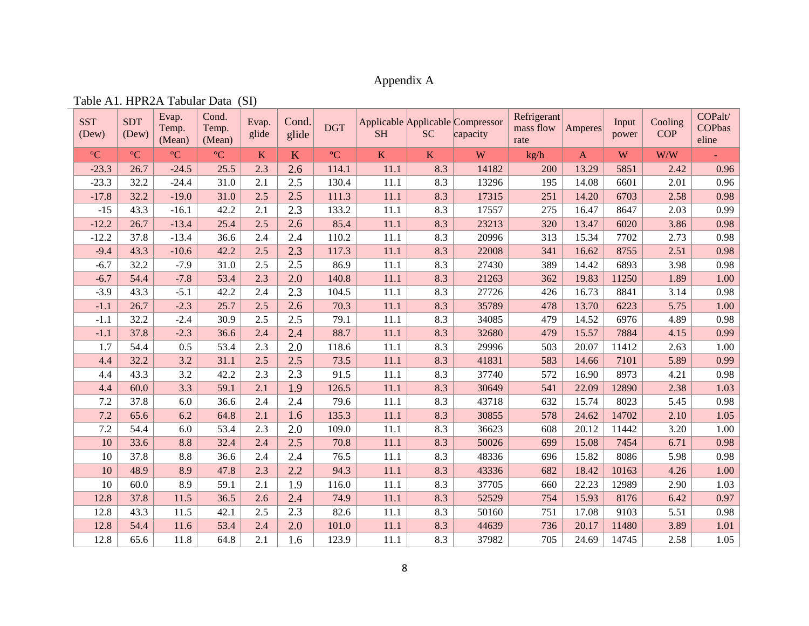### Appendix A

<span id="page-7-1"></span><span id="page-7-0"></span>

| <b>SST</b><br>(Dew) | <b>SDT</b><br>(Dew) | Evap.<br>Temp.<br>(Mean) | Cond.<br>Temp.<br>(Mean) | Evap.<br>glide | Cond.<br>glide | <b>DGT</b>      | <b>SH</b>   | <b>SC</b>               | Applicable Applicable Compressor<br>capacity | Refrigerant<br>mass flow<br>rate | <b>Amperes</b> | Input<br>power | Cooling<br><b>COP</b> | COPalt/<br><b>COPbas</b><br>eline |
|---------------------|---------------------|--------------------------|--------------------------|----------------|----------------|-----------------|-------------|-------------------------|----------------------------------------------|----------------------------------|----------------|----------------|-----------------------|-----------------------------------|
| $\rm ^{\circ}C$     | $\rm ^{\circ}C$     | $\rm ^{\circ}C$          | $\rm ^{\circ}C$          | K              | K              | $\rm ^{\circ}C$ | $\mathbf K$ | $\overline{\mathbf{K}}$ | W                                            | kg/h                             | $\mathbf{A}$   | W              | W/W                   |                                   |
| $-23.3$             | 26.7                | $-24.5$                  | 25.5                     | 2.3            | 2.6            | 114.1           | 11.1        | 8.3                     | 14182                                        | 200                              | 13.29          | 5851           | 2.42                  | 0.96                              |
| $-23.3$             | 32.2                | $-24.4$                  | 31.0                     | 2.1            | 2.5            | 130.4           | 11.1        | 8.3                     | 13296                                        | 195                              | 14.08          | 6601           | 2.01                  | 0.96                              |
| $-17.8$             | 32.2                | $-19.0$                  | 31.0                     | 2.5            | 2.5            | 111.3           | 11.1        | 8.3                     | 17315                                        | 251                              | 14.20          | 6703           | 2.58                  | 0.98                              |
| $-15$               | 43.3                | $-16.1$                  | 42.2                     | 2.1            | 2.3            | 133.2           | 11.1        | 8.3                     | 17557                                        | 275                              | 16.47          | 8647           | 2.03                  | 0.99                              |
| $-12.2$             | 26.7                | $-13.4$                  | 25.4                     | 2.5            | 2.6            | 85.4            | 11.1        | 8.3                     | 23213                                        | 320                              | 13.47          | 6020           | 3.86                  | 0.98                              |
| $-12.2$             | 37.8                | $-13.4$                  | 36.6                     | 2.4            | 2.4            | 110.2           | 11.1        | 8.3                     | 20996                                        | 313                              | 15.34          | 7702           | 2.73                  | 0.98                              |
| $-9.4$              | 43.3                | $-10.6$                  | 42.2                     | 2.5            | 2.3            | 117.3           | 11.1        | 8.3                     | 22008                                        | 341                              | 16.62          | 8755           | 2.51                  | 0.98                              |
| $-6.7$              | 32.2                | $-7.9$                   | 31.0                     | 2.5            | 2.5            | 86.9            | 11.1        | 8.3                     | 27430                                        | 389                              | 14.42          | 6893           | 3.98                  | 0.98                              |
| $-6.7$              | 54.4                | $-7.8$                   | 53.4                     | 2.3            | 2.0            | 140.8           | 11.1        | 8.3                     | 21263                                        | 362                              | 19.83          | 11250          | 1.89                  | 1.00                              |
| $-3.9$              | 43.3                | $-5.1$                   | 42.2                     | 2.4            | 2.3            | 104.5           | 11.1        | 8.3                     | 27726                                        | 426                              | 16.73          | 8841           | 3.14                  | 0.98                              |
| $-1.1$              | 26.7                | $-2.3$                   | 25.7                     | 2.5            | 2.6            | 70.3            | 11.1        | 8.3                     | 35789                                        | 478                              | 13.70          | 6223           | 5.75                  | 1.00                              |
| $-1.1$              | 32.2                | $-2.4$                   | 30.9                     | 2.5            | 2.5            | 79.1            | 11.1        | 8.3                     | 34085                                        | 479                              | 14.52          | 6976           | 4.89                  | 0.98                              |
| $-1.1$              | 37.8                | $-2.3$                   | 36.6                     | 2.4            | 2.4            | 88.7            | 11.1        | 8.3                     | 32680                                        | 479                              | 15.57          | 7884           | 4.15                  | 0.99                              |
| 1.7                 | 54.4                | 0.5                      | 53.4                     | 2.3            | 2.0            | 118.6           | 11.1        | 8.3                     | 29996                                        | 503                              | 20.07          | 11412          | 2.63                  | 1.00                              |
| 4.4                 | 32.2                | 3.2                      | 31.1                     | 2.5            | 2.5            | 73.5            | 11.1        | 8.3                     | 41831                                        | 583                              | 14.66          | 7101           | 5.89                  | 0.99                              |
| 4.4                 | 43.3                | 3.2                      | 42.2                     | 2.3            | 2.3            | 91.5            | 11.1        | 8.3                     | 37740                                        | 572                              | 16.90          | 8973           | 4.21                  | 0.98                              |
| 4.4                 | 60.0                | 3.3                      | 59.1                     | 2.1            | 1.9            | 126.5           | 11.1        | 8.3                     | 30649                                        | 541                              | 22.09          | 12890          | 2.38                  | 1.03                              |
| 7.2                 | 37.8                | 6.0                      | 36.6                     | 2.4            | 2.4            | 79.6            | 11.1        | 8.3                     | 43718                                        | 632                              | 15.74          | 8023           | 5.45                  | 0.98                              |
| 7.2                 | 65.6                | 6.2                      | 64.8                     | 2.1            | 1.6            | 135.3           | 11.1        | 8.3                     | 30855                                        | 578                              | 24.62          | 14702          | 2.10                  | 1.05                              |
| 7.2                 | 54.4                | 6.0                      | 53.4                     | 2.3            | 2.0            | 109.0           | 11.1        | 8.3                     | 36623                                        | 608                              | 20.12          | 11442          | 3.20                  | 1.00                              |
| 10                  | 33.6                | 8.8                      | 32.4                     | 2.4            | 2.5            | 70.8            | 11.1        | 8.3                     | 50026                                        | 699                              | 15.08          | 7454           | 6.71                  | 0.98                              |
| 10                  | 37.8                | 8.8                      | 36.6                     | 2.4            | 2.4            | 76.5            | 11.1        | 8.3                     | 48336                                        | 696                              | 15.82          | 8086           | 5.98                  | 0.98                              |
| 10                  | 48.9                | 8.9                      | 47.8                     | 2.3            | 2.2            | 94.3            | 11.1        | 8.3                     | 43336                                        | 682                              | 18.42          | 10163          | 4.26                  | 1.00                              |
| 10                  | 60.0                | 8.9                      | 59.1                     | 2.1            | 1.9            | 116.0           | 11.1        | 8.3                     | 37705                                        | 660                              | 22.23          | 12989          | 2.90                  | 1.03                              |
| 12.8                | 37.8                | 11.5                     | 36.5                     | 2.6            | 2.4            | 74.9            | 11.1        | 8.3                     | 52529                                        | 754                              | 15.93          | 8176           | 6.42                  | 0.97                              |
| 12.8                | 43.3                | 11.5                     | 42.1                     | 2.5            | 2.3            | 82.6            | 11.1        | 8.3                     | 50160                                        | 751                              | 17.08          | 9103           | 5.51                  | 0.98                              |
| 12.8                | 54.4                | 11.6                     | 53.4                     | 2.4            | 2.0            | 101.0           | 11.1        | 8.3                     | 44639                                        | 736                              | 20.17          | 11480          | 3.89                  | 1.01                              |
| 12.8                | 65.6                | 11.8                     | 64.8                     | 2.1            | 1.6            | 123.9           | 11.1        | 8.3                     | 37982                                        | 705                              | 24.69          | 14745          | 2.58                  | 1.05                              |

Table A1. HPR2A Tabular Data (SI)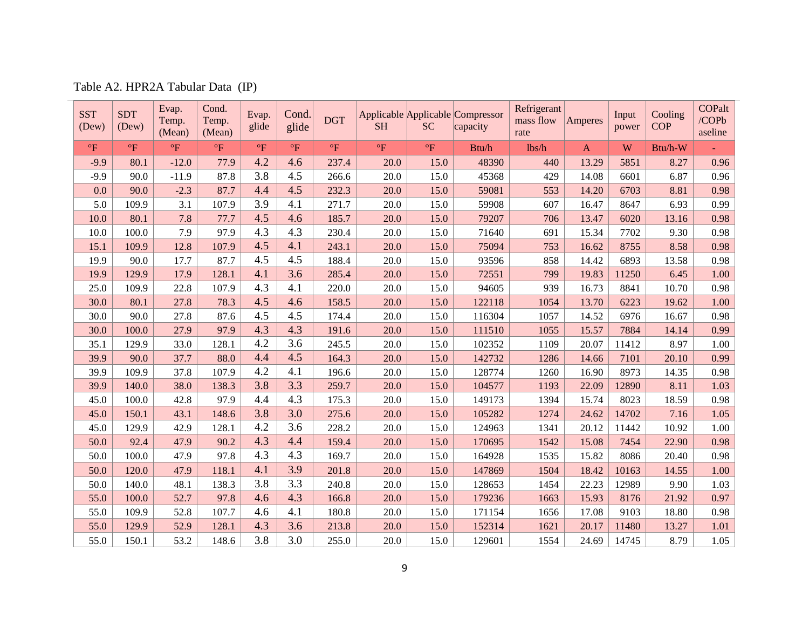| Table A2. HPR2A Tabular Data (IP) |  |  |  |  |
|-----------------------------------|--|--|--|--|
|-----------------------------------|--|--|--|--|

<span id="page-8-0"></span>

| <b>SST</b><br>(Dew)       | <b>SDT</b><br>(Dev) | Evap.<br>Temp.<br>(Mean)  | Cond.<br>Temp.<br>(Mean)  | Evap.<br>glide | Cond.<br>glide | <b>DGT</b>                | <b>SH</b> | <b>SC</b>                 | Applicable Applicable Compressor<br>capacity | Refrigerant<br>mass flow<br>rate | Amperes      | Input<br>power | Cooling<br><b>COP</b> | <b>COPalt</b><br>/COPb<br>aseline |
|---------------------------|---------------------|---------------------------|---------------------------|----------------|----------------|---------------------------|-----------|---------------------------|----------------------------------------------|----------------------------------|--------------|----------------|-----------------------|-----------------------------------|
| $\mathrm{P}_{\mathrm{F}}$ | $\mathrm{P}$        | $\mathrm{P}_{\mathrm{F}}$ | $\mathrm{P}_{\mathrm{F}}$ | $\rm ^{o}F$    | $\mathrm{P}$   | $\mathrm{P}_{\mathrm{F}}$ | $\circ$ F | $\mathrm{P}_{\mathrm{F}}$ | Btu/h                                        | lbs/h                            | $\mathbf{A}$ | W              | Btu/h-W               |                                   |
| $-9.9$                    | 80.1                | $-12.0$                   | 77.9                      | 4.2            | 4.6            | 237.4                     | 20.0      | 15.0                      | 48390                                        | 440                              | 13.29        | 5851           | 8.27                  | 0.96                              |
| $-9.9$                    | 90.0                | $-11.9$                   | 87.8                      | 3.8            | 4.5            | 266.6                     | 20.0      | 15.0                      | 45368                                        | 429                              | 14.08        | 6601           | 6.87                  | 0.96                              |
| 0.0                       | 90.0                | $-2.3$                    | 87.7                      | 4.4            | 4.5            | 232.3                     | 20.0      | 15.0                      | 59081                                        | 553                              | 14.20        | 6703           | 8.81                  | 0.98                              |
| 5.0                       | 109.9               | 3.1                       | 107.9                     | 3.9            | 4.1            | 271.7                     | 20.0      | 15.0                      | 59908                                        | 607                              | 16.47        | 8647           | 6.93                  | 0.99                              |
| 10.0                      | 80.1                | 7.8                       | 77.7                      | 4.5            | 4.6            | 185.7                     | 20.0      | 15.0                      | 79207                                        | 706                              | 13.47        | 6020           | 13.16                 | 0.98                              |
| 10.0                      | 100.0               | 7.9                       | 97.9                      | 4.3            | 4.3            | 230.4                     | 20.0      | 15.0                      | 71640                                        | 691                              | 15.34        | 7702           | 9.30                  | 0.98                              |
| 15.1                      | 109.9               | 12.8                      | 107.9                     | 4.5            | 4.1            | 243.1                     | 20.0      | 15.0                      | 75094                                        | 753                              | 16.62        | 8755           | 8.58                  | 0.98                              |
| 19.9                      | 90.0                | 17.7                      | 87.7                      | 4.5            | 4.5            | 188.4                     | 20.0      | 15.0                      | 93596                                        | 858                              | 14.42        | 6893           | 13.58                 | 0.98                              |
| 19.9                      | 129.9               | 17.9                      | 128.1                     | 4.1            | 3.6            | 285.4                     | 20.0      | 15.0                      | 72551                                        | 799                              | 19.83        | 11250          | 6.45                  | 1.00                              |
| 25.0                      | 109.9               | 22.8                      | 107.9                     | 4.3            | 4.1            | 220.0                     | 20.0      | 15.0                      | 94605                                        | 939                              | 16.73        | 8841           | 10.70                 | 0.98                              |
| 30.0                      | 80.1                | 27.8                      | 78.3                      | 4.5            | 4.6            | 158.5                     | 20.0      | 15.0                      | 122118                                       | 1054                             | 13.70        | 6223           | 19.62                 | 1.00                              |
| 30.0                      | 90.0                | 27.8                      | 87.6                      | 4.5            | 4.5            | 174.4                     | 20.0      | 15.0                      | 116304                                       | 1057                             | 14.52        | 6976           | 16.67                 | 0.98                              |
| 30.0                      | 100.0               | 27.9                      | 97.9                      | 4.3            | 4.3            | 191.6                     | 20.0      | 15.0                      | 111510                                       | 1055                             | 15.57        | 7884           | 14.14                 | 0.99                              |
| 35.1                      | 129.9               | 33.0                      | 128.1                     | 4.2            | 3.6            | 245.5                     | 20.0      | 15.0                      | 102352                                       | 1109                             | 20.07        | 11412          | 8.97                  | 1.00                              |
| 39.9                      | 90.0                | 37.7                      | 88.0                      | 4.4            | 4.5            | 164.3                     | 20.0      | 15.0                      | 142732                                       | 1286                             | 14.66        | 7101           | 20.10                 | 0.99                              |
| 39.9                      | 109.9               | 37.8                      | 107.9                     | 4.2            | 4.1            | 196.6                     | 20.0      | 15.0                      | 128774                                       | 1260                             | 16.90        | 8973           | 14.35                 | 0.98                              |
| 39.9                      | 140.0               | 38.0                      | 138.3                     | 3.8            | 3.3            | 259.7                     | 20.0      | 15.0                      | 104577                                       | 1193                             | 22.09        | 12890          | 8.11                  | 1.03                              |
| 45.0                      | 100.0               | 42.8                      | 97.9                      | 4.4            | 4.3            | 175.3                     | 20.0      | 15.0                      | 149173                                       | 1394                             | 15.74        | 8023           | 18.59                 | 0.98                              |
| 45.0                      | 150.1               | 43.1                      | 148.6                     | 3.8            | 3.0            | 275.6                     | 20.0      | 15.0                      | 105282                                       | 1274                             | 24.62        | 14702          | 7.16                  | 1.05                              |
| 45.0                      | 129.9               | 42.9                      | 128.1                     | 4.2            | 3.6            | 228.2                     | 20.0      | 15.0                      | 124963                                       | 1341                             | 20.12        | 11442          | 10.92                 | 1.00                              |
| 50.0                      | 92.4                | 47.9                      | 90.2                      | 4.3            | 4.4            | 159.4                     | 20.0      | 15.0                      | 170695                                       | 1542                             | 15.08        | 7454           | 22.90                 | 0.98                              |
| 50.0                      | 100.0               | 47.9                      | 97.8                      | 4.3            | 4.3            | 169.7                     | 20.0      | 15.0                      | 164928                                       | 1535                             | 15.82        | 8086           | 20.40                 | 0.98                              |
| 50.0                      | 120.0               | 47.9                      | 118.1                     | 4.1            | 3.9            | 201.8                     | 20.0      | 15.0                      | 147869                                       | 1504                             | 18.42        | 10163          | 14.55                 | 1.00                              |
| 50.0                      | 140.0               | 48.1                      | 138.3                     | 3.8            | 3.3            | 240.8                     | 20.0      | 15.0                      | 128653                                       | 1454                             | 22.23        | 12989          | 9.90                  | 1.03                              |
| 55.0                      | 100.0               | 52.7                      | 97.8                      | 4.6            | 4.3            | 166.8                     | 20.0      | 15.0                      | 179236                                       | 1663                             | 15.93        | 8176           | 21.92                 | 0.97                              |
| 55.0                      | 109.9               | 52.8                      | 107.7                     | 4.6            | 4.1            | 180.8                     | 20.0      | 15.0                      | 171154                                       | 1656                             | 17.08        | 9103           | 18.80                 | 0.98                              |
| 55.0                      | 129.9               | 52.9                      | 128.1                     | 4.3            | 3.6            | 213.8                     | 20.0      | 15.0                      | 152314                                       | 1621                             | 20.17        | 11480          | 13.27                 | 1.01                              |
| 55.0                      | 150.1               | 53.2                      | 148.6                     | 3.8            | 3.0            | 255.0                     | 20.0      | 15.0                      | 129601                                       | 1554                             | 24.69        | 14745          | 8.79                  | 1.05                              |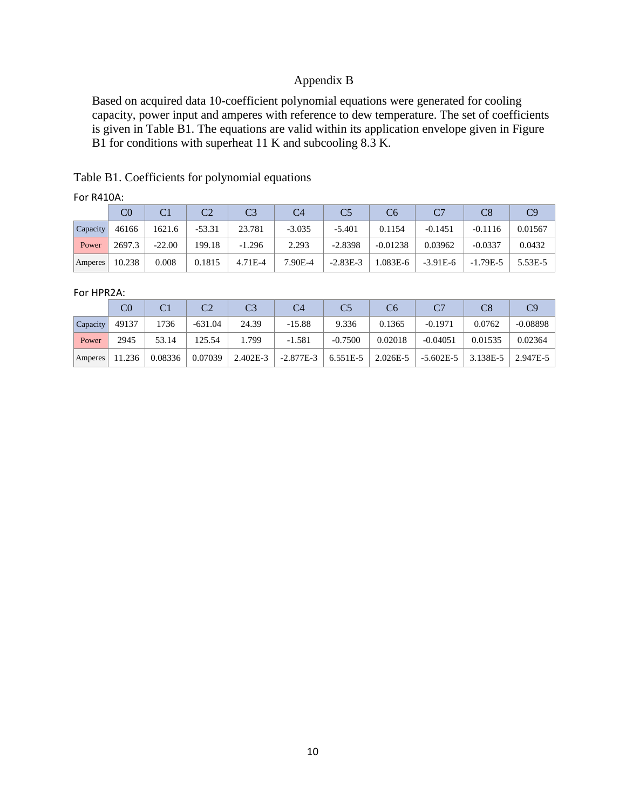### Appendix B

<span id="page-9-0"></span>Based on acquired data 10-coefficient polynomial equations were generated for cooling capacity, power input and amperes with reference to dew temperature. The set of coefficients is given in Table B1. The equations are valid within its application envelope given in Figure B1 for conditions with superheat 11 K and subcooling 8.3 K.

<span id="page-9-1"></span>Table B1. Coefficients for polynomial equations

|                 | C0     |          |          | C <sub>3</sub> | C4       |            | C6         |            |            | C9      |
|-----------------|--------|----------|----------|----------------|----------|------------|------------|------------|------------|---------|
| <b>Capacity</b> | 46166  | 1621.6   | $-53.31$ | 23.781         | $-3.035$ | $-5.401$   | 0.1154     | $-0.1451$  | $-0.1116$  | 0.01567 |
| Power           | 2697.3 | $-22.00$ | 199.18   | $-1.296$       | 2.293    | $-2.8398$  | $-0.01238$ | 0.03962    | $-0.0337$  | 0.0432  |
| Amperes         | 10.238 | 0.008    | 0.1815   | 4.71E-4        | 7.90E-4  | $-2.83E-3$ | 1.083E-6   | $-3.91E-6$ | $-1.79E-5$ | 5.53E-5 |

#### For HPR2A:

|                | C0     |         |           |          | C4          |           | C6       |               |          | C9         |
|----------------|--------|---------|-----------|----------|-------------|-----------|----------|---------------|----------|------------|
| Capacity       | 49137  | 1736    | $-631.04$ | 24.39    | $-15.88$    | 9.336     | 0.1365   | $-0.1971$     | 0.0762   | $-0.08898$ |
| Power          | 2945   | 53.14   | 125.54    | 1.799    | $-1.581$    | $-0.7500$ | 0.02018  | $-0.04051$    | 0.01535  | 0.02364    |
| <b>Amperes</b> | 11.236 | 0.08336 | 0.07039   | 2.402E-3 | $-2.877E-3$ | 6.551E-5  | 2.026E-5 | $-5.602E - 5$ | 3.138E-5 | 2.947E-5   |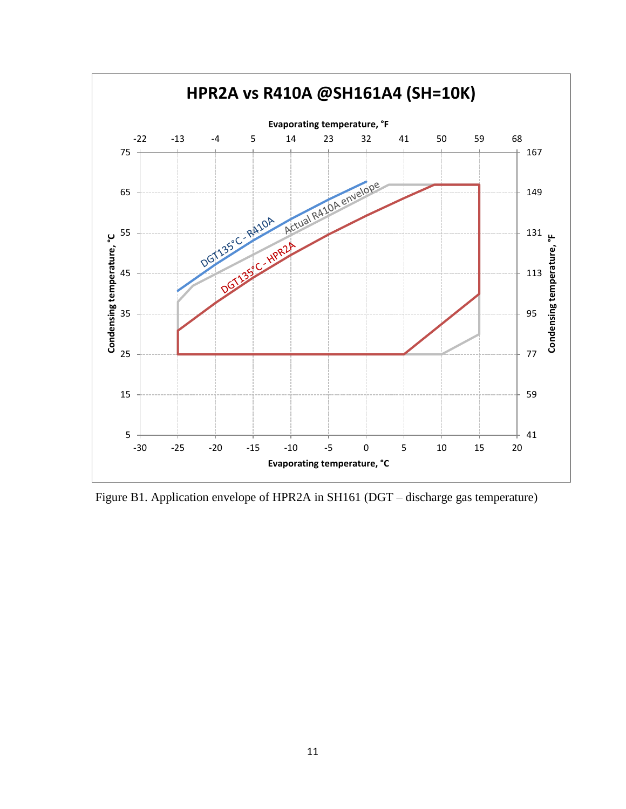

<span id="page-10-0"></span>Figure B1. Application envelope of HPR2A in SH161 (DGT – discharge gas temperature)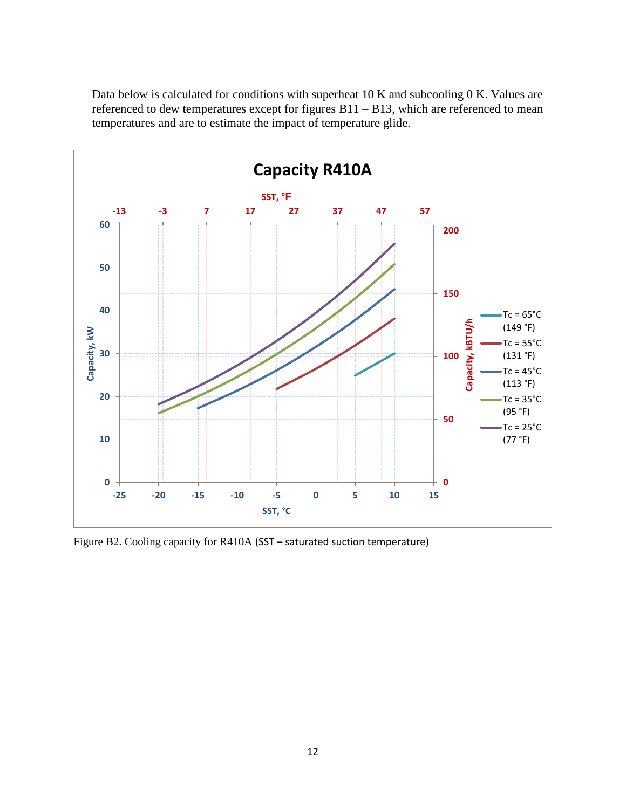Data below is calculated for conditions with superheat 10 K and subcooling 0 K. Values are referenced to dew temperatures except for figures B11 – B13, which are referenced to mean temperatures and are to estimate the impact of temperature glide.



<span id="page-11-0"></span>Figure B2. Cooling capacity for R410A (SST – saturated suction temperature)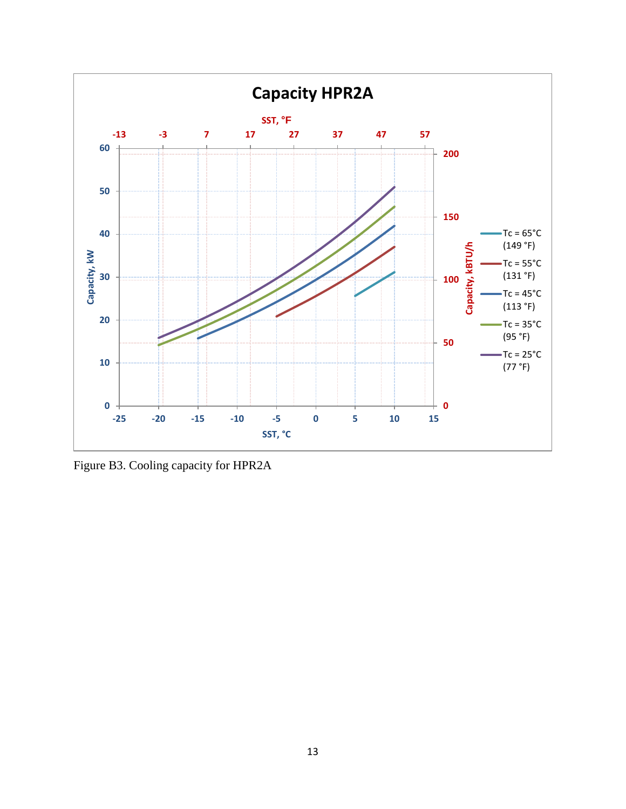

<span id="page-12-0"></span>Figure B3. Cooling capacity for HPR2A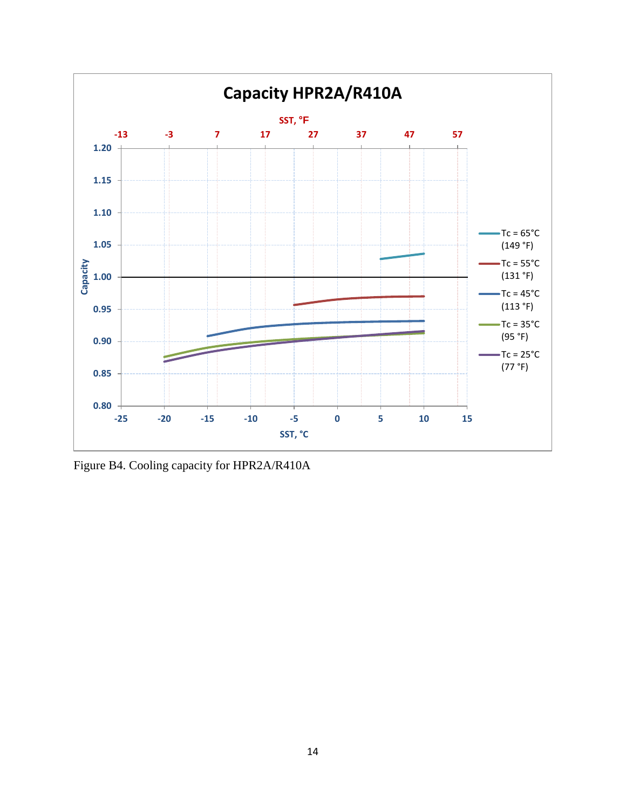

<span id="page-13-0"></span>Figure B4. Cooling capacity for HPR2A/R410A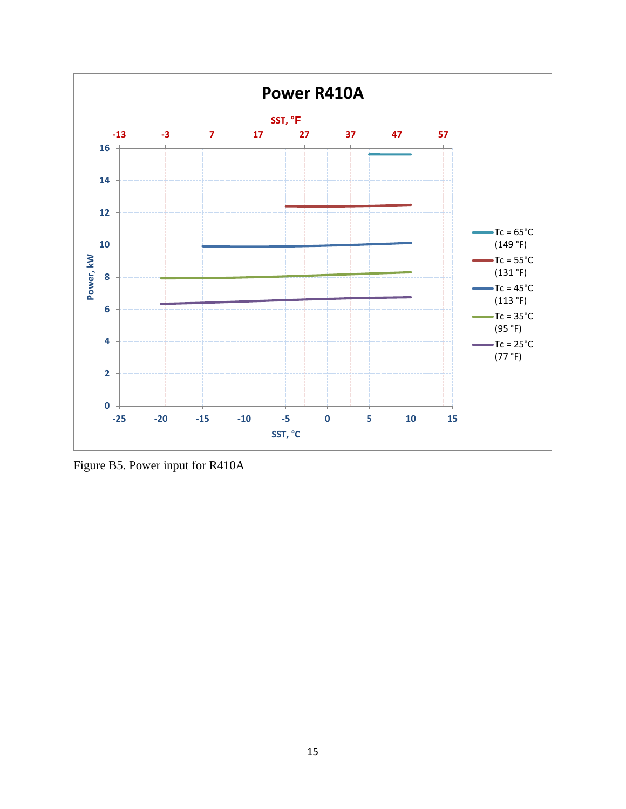

<span id="page-14-0"></span>Figure B5. Power input for R410A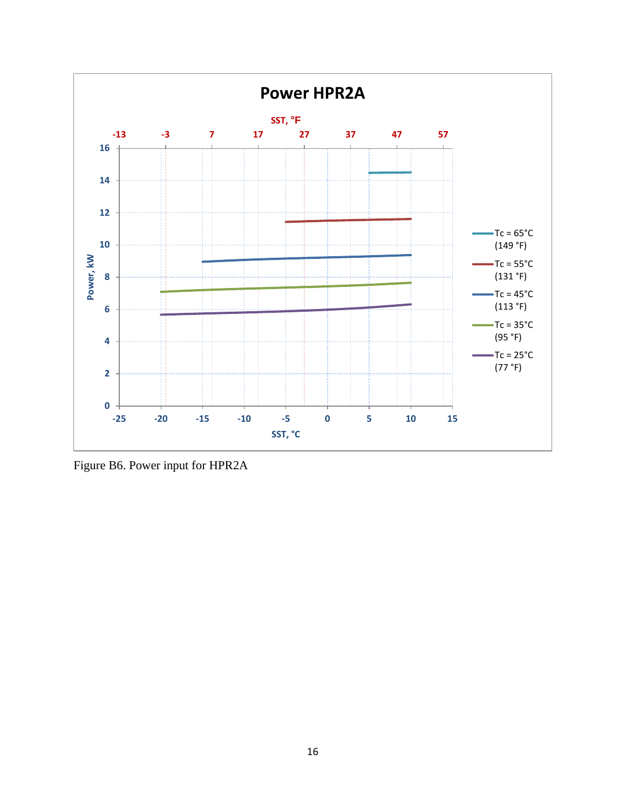

<span id="page-15-0"></span>Figure B6. Power input for HPR2A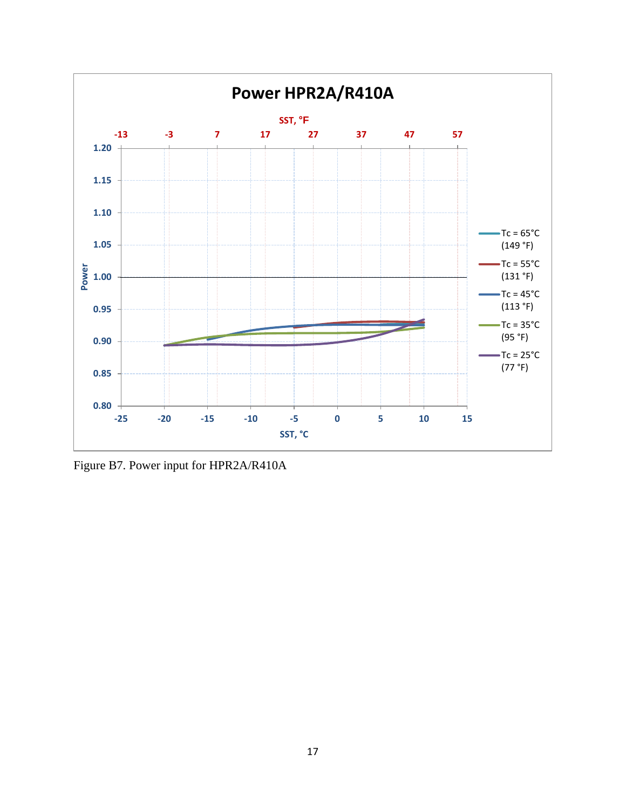

<span id="page-16-0"></span>Figure B7. Power input for HPR2A/R410A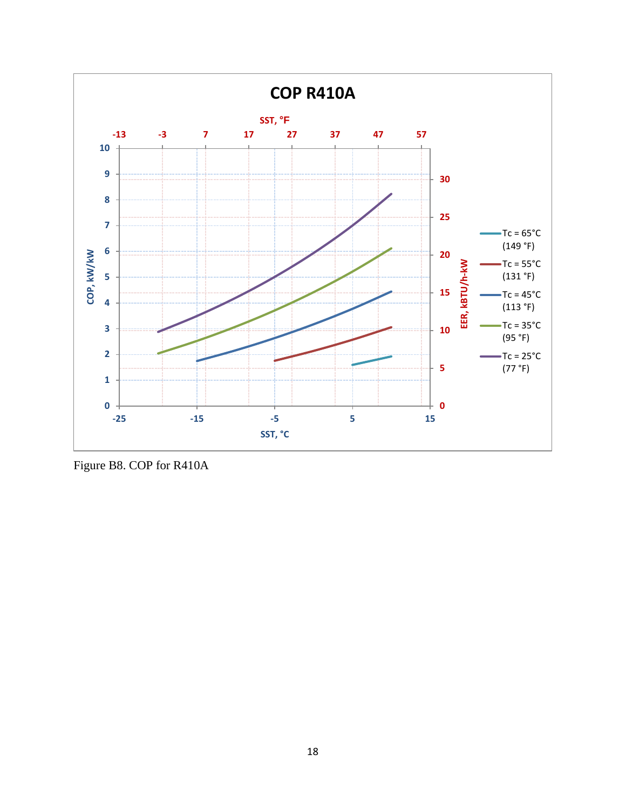

<span id="page-17-0"></span>Figure B8. COP for R410A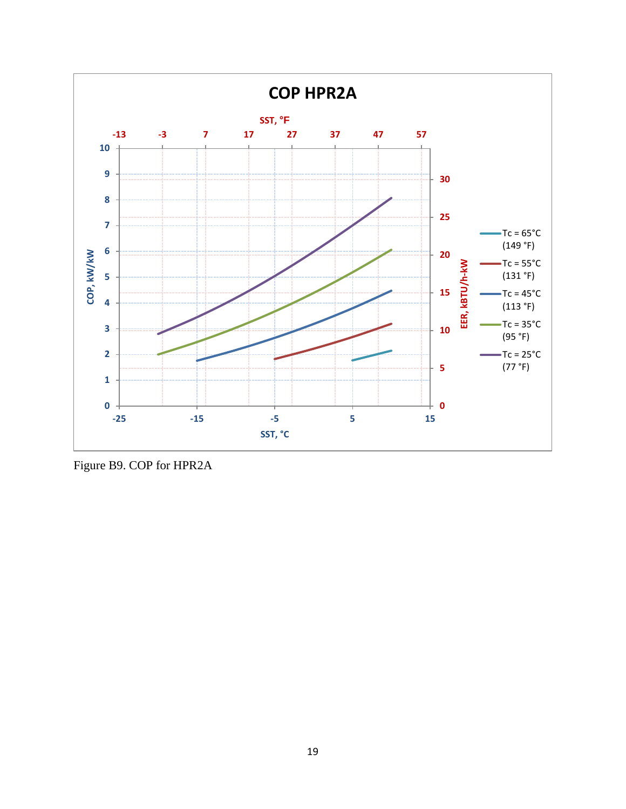

<span id="page-18-0"></span>Figure B9. COP for HPR2A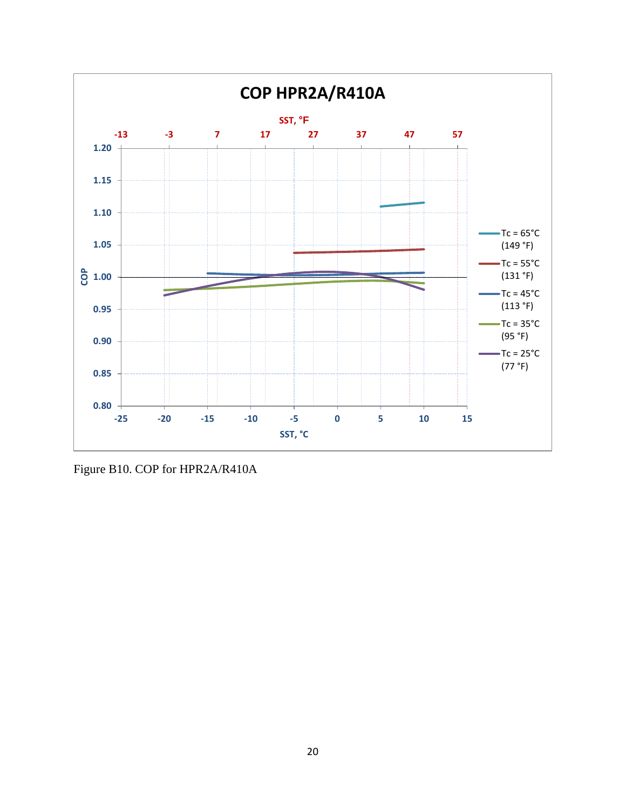

<span id="page-19-0"></span>Figure B10. COP for HPR2A/R410A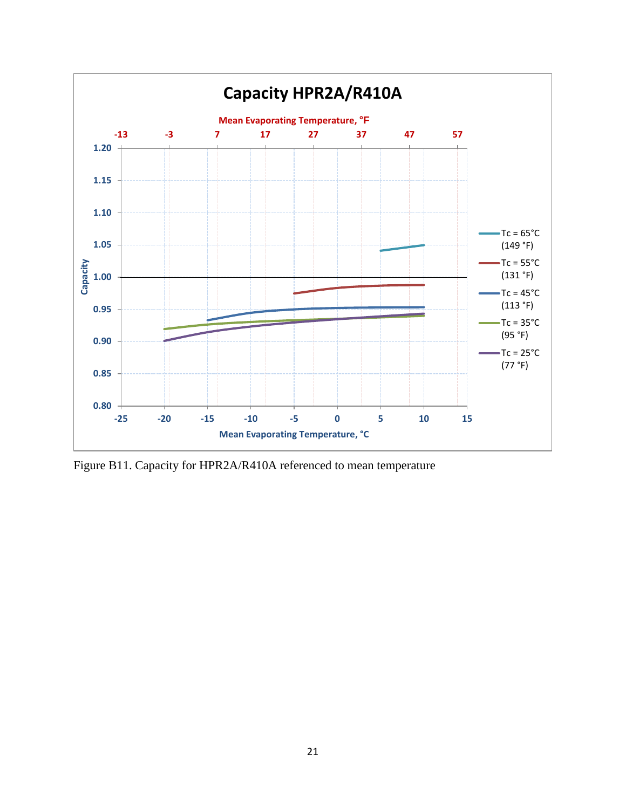

<span id="page-20-0"></span>Figure B11. Capacity for HPR2A/R410A referenced to mean temperature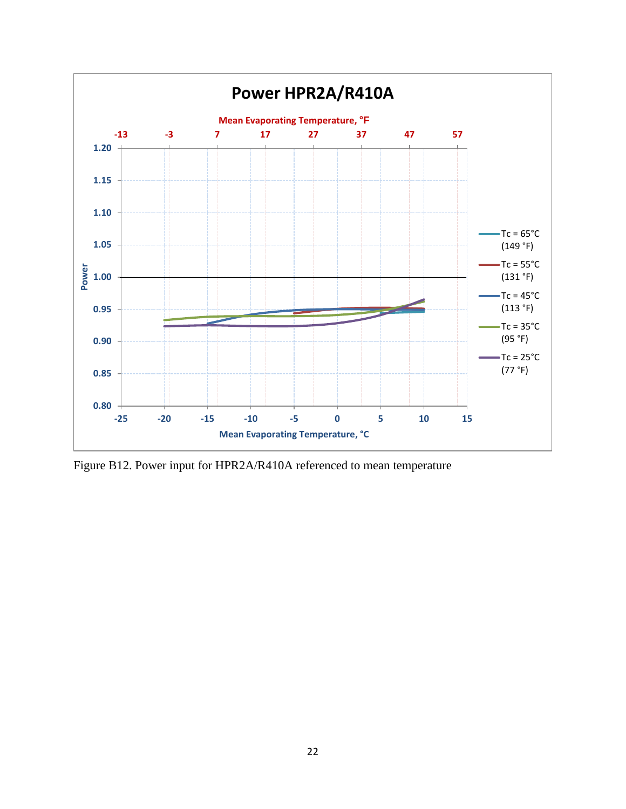

<span id="page-21-0"></span>Figure B12. Power input for HPR2A/R410A referenced to mean temperature